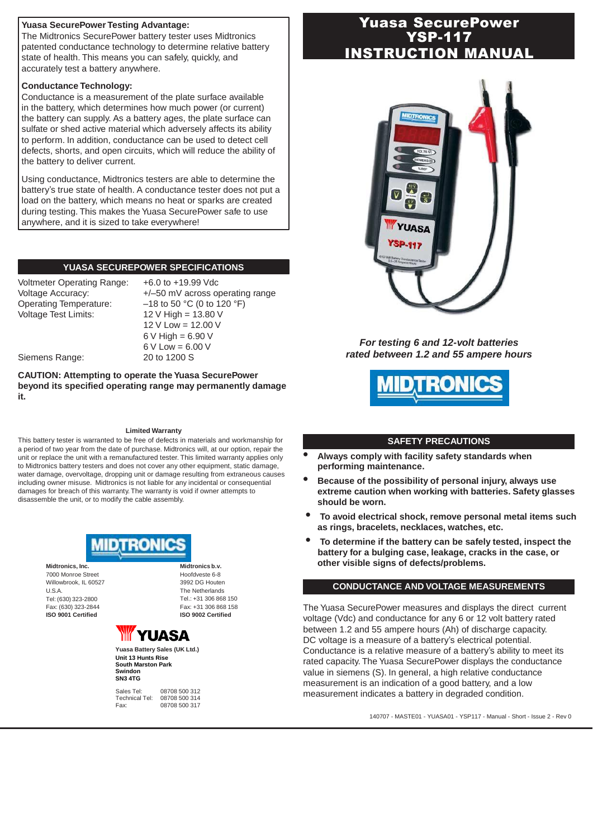### **Yuasa SecurePower Testing Advantage:**

The Midtronics SecurePower battery tester uses Midtronics patented conductance technology to determine relative battery state of health. This means you can safely, quickly, and accurately test a battery anywhere.

## **Conductance Technology:**

Conductance is a measurement of the plate surface available in the battery, which determines how much power (or current) the battery can supply. As a battery ages, the plate surface can sulfate or shed active material which adversely affects its ability to perform. In addition, conductance can be used to detect cell defects, shorts, and open circuits, which will reduce the ability of the battery to deliver current.

Using conductance, Midtronics testers are able to determine the battery's true state of health. A conductance tester does not put a load on the battery, which means no heat or sparks are created during testing. This makes the Yuasa SecurePower safe to use anywhere, and it is sized to take everywhere!

# **YUASA SECUREPOWER SPECIFICATIONS**

Voltmeter Operating Range: +6.0 to +19.99 Vdc Operating Temperature: –18 to 50 °C (0 to 120 °F) Voltage Test Limits: 12 V High = 13.80 V

Voltage Accuracy:  $+/-50$  mV across operating range V Low = 12.00 V V High =  $6.90$  V V Low = 6.00 V

Siemens Range: 20 to 1200 S

**CAUTION: Attempting to operate the Yuasa SecurePower beyond its specified operating range may permanently damage it.**

#### **Limited Warranty**

This battery tester is warranted to be free of defects in materials and workmanship for a period of two year from the date of purchase. Midtronics will, at our option, repair the unit or replace the unit with a remanufactured tester. This limited warranty applies only to Midtronics battery testers and does not cover any other equipment, static damage, water damage, overvoltage, dropping unit or damage resulting from extraneous causes including owner misuse. Midtronics is not liable for any incidental or consequential damages for breach of this warranty. The warranty is void if owner attempts to disassemble the unit, or to modify the cable assembly.



**Midtronics, Inc.** 7000 Monroe Street Willowbrook, IL 60527 U.S.A. Tel: (630) 323-2800 Fax: (630) 323-2844 **ISO 9001 Certified**

**Midtronics b.v.** Hoofdveste 6-8 3992 DG Houten The Netherlands Tel.: +31 306 868 150 Fax: +31 306 868 158 **ISO 9002 Certified**



**Yuasa Battery Sales (UK Ltd.) Unit 13 Hunts Rise South Marston Park Swindon SN3 4TG**

Sales Tel: 08708 500 312<br>Technical Tel: 08708 500 314 Technical Tel: 08708 500 314 08708 500 317

# Yuasa SecurePower YSP-117 NSTRUCTION MANUAL



*For testing 6 and 12-volt batteries rated between 1.2 and 55 ampere hours*



#### **SAFETY PRECAUTIONS**

- **• Always comply with facility safety standards when performing maintenance.**
- **• Because of the possibility of personal injury, always use extreme caution when working with batteries. Safety glasses should be worn.**
- **• To avoid electrical shock, remove personal metal items such as rings, bracelets, necklaces, watches, etc.**
- **• To determine if the battery can be safely tested, inspect the battery for a bulging case, leakage, cracks in the case, or other visible signs of defects/problems.**

#### **CONDUCTANCE AND VOLTAGE MEASUREMENTS**

The Yuasa SecurePower measures and displays the direct current voltage (Vdc) and conductance for any 6 or 12 volt battery rated between 1.2 and 55 ampere hours (Ah) of discharge capacity. DC voltage is a measure of a battery's electrical potential. Conductance is a relative measure of a battery's ability to meet its rated capacity. The Yuasa SecurePower displays the conductance value in siemens (S). In general, a high relative conductance measurement is an indication of a good battery, and a low measurement indicates a battery in degraded condition.

140707 - MASTE01 - YUASA01 - YSP117 - Manual - Short - Issue 2 - Rev 0